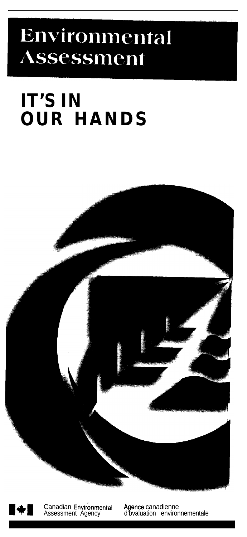# Environmental Assessment

## **IT'S IN OUR HANDS**





**1919** Canadian Environmental<br>Assessment Agency

Agence canadienne d'bvaluation environnementale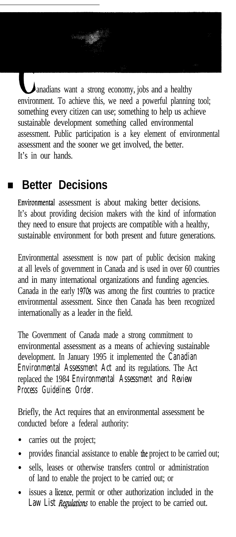anadians want a strong economy, jobs and a healthy environment. To achieve this, we need a powerful planning tool; something every citizen can use; something to help us achieve sustainable development something called environmental assessment. Public participation is a key element of environmental assessment and the sooner we get involved, the better. It's in our hands.

### **Better Decisions**

Environmental assessment is about making better decisions. It's about providing decision makers with the kind of information they need to ensure that projects are compatible with a healthy, sustainable environment for both present and future generations.

Environmental assessment is now part of public decision making at all levels of government in Canada and is used in over 60 countries and in many international organizations and funding agencies. Canada in the early 1970s was among the first countries to practice environmental assessment. Since then Canada has been recognized internationally as a leader in the field.

The Government of Canada made a strong commitment to environmental assessment as a means of achieving sustainable development. In January 1995 it implemented the *Canadian Environmental Assessment Act* and its regulations. The Act replaced the 1984 *Environmental Assessment and Review Process Guidelines Order.*

Briefly, the Act requires that an environmental assessment be conducted before a federal authority:

- carries out the project;
- provides financial assistance to enable the project to be carried out;
- sells, leases or otherwise transfers control or administration of land to enable the project to be carried out; or
- issues a licence, permit or other authorization included in the *Law List RegUatibns* to enable the project to be carried out.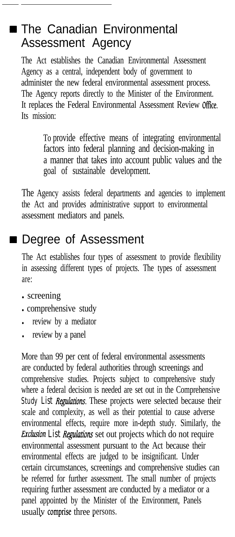#### ■ The Canadian Environmental Assessment Agency

The Act establishes the Canadian Environmental Assessment Agency as a central, independent body of government to administer the new federal environmental assessment process. The Agency reports directly to the Minister of the Environment. It replaces the Federal Environmental Assessment Review Office. Its mission:

> To provide effective means of integrating environmental factors into federal planning and decision-making in a manner that takes into account public values and the goal of sustainable development.

The Agency assists federal departments and agencies to implement the Act and provides administrative support to environmental assessment mediators and panels.

### Degree of Assessment

The Act establishes four types of assessment to provide flexibility in assessing different types of projects. The types of assessment are:

- screening
- comprehensive study
- **.** review by a mediator
- review by a panel

More than 99 per cent of federal environmental assessments are conducted by federal authorities through screenings and comprehensive studies. Projects subject to comprehensive study where a federal decision is needed are set out in the Comprehensive *Study List Regulations.* These projects were selected because their scale and complexity, as well as their potential to cause adverse environmental effects, require more in-depth study. Similarly, the *Exclusion List Regulations* set out projects which do not require environmental assessment pursuant to the Act because their environmental effects are judged to be insignificant. Under certain circumstances, screenings and comprehensive studies can be referred for further assessment. The small number of projects requiring further assessment are conducted by a mediator or a panel appointed by the Minister of the Environment, Panels usually comprise three persons.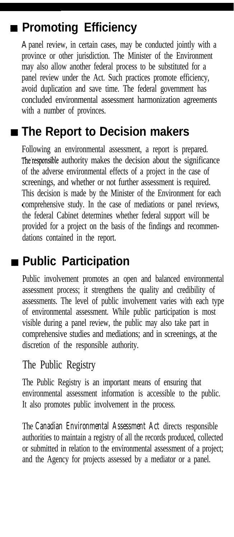## **Promoting Efficiency**

A panel review, in certain cases, may be conducted jointly with a province or other jurisdiction. The Minister of the Environment may also allow another federal process to be substituted for a panel review under the Act. Such practices promote efficiency, avoid duplication and save time. The federal government has concluded environmental assessment harmonization agreements with a number of provinces.

## **The Report to Decision makers**

Following an environmental assessment, a report is prepared. The'responsible authority makes the decision about the significance of the adverse environmental effects of a project in the case of screenings, and whether or not further assessment is required. This decision is made by the Minister of the Environment for each comprehensive study. In the case of mediations or panel reviews, the federal Cabinet determines whether federal support will be provided for a project on the basis of the findings and recommendations contained in the report.

## **Public Participation**

Public involvement promotes an open and balanced environmental assessment process; it strengthens the quality and credibility of assessments. The level of public involvement varies with each type of environmental assessment. While public participation is most visible during a panel review, the public may also take part in comprehensive studies and mediations; and in screenings, at the discretion of the responsible authority.

#### The Public Registry

The Public Registry is an important means of ensuring that environmental assessment information is accessible to the public. It also promotes public involvement in the process.

The *Canadian Environmental Assessment Act* directs responsible authorities to maintain a registry of all the records produced, collected or submitted in relation to the environmental assessment of a project; and the Agency for projects assessed by a mediator or a panel.